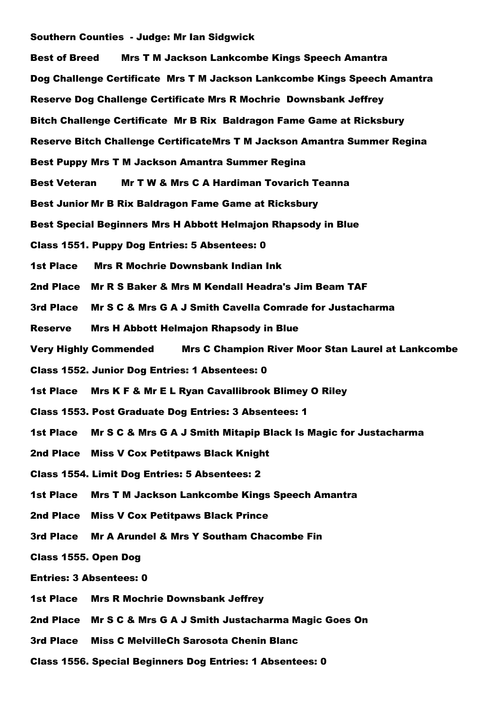## Southern Counties - Judge: Mr Ian Sidgwick

| <b>Best of Breed</b><br><b>Mrs T M Jackson Lankcombe Kings Speech Amantra</b>             |
|-------------------------------------------------------------------------------------------|
| Dog Challenge Certificate Mrs T M Jackson Lankcombe Kings Speech Amantra                  |
| Reserve Dog Challenge Certificate Mrs R Mochrie Downsbank Jeffrey                         |
| Bitch Challenge Certificate Mr B Rix Baldragon Fame Game at Ricksbury                     |
| Reserve Bitch Challenge CertificateMrs T M Jackson Amantra Summer Regina                  |
| Best Puppy Mrs T M Jackson Amantra Summer Regina                                          |
| Mr T W & Mrs C A Hardiman Tovarich Teanna<br><b>Best Veteran</b>                          |
| Best Junior Mr B Rix Baldragon Fame Game at Ricksbury                                     |
| <b>Best Special Beginners Mrs H Abbott Helmajon Rhapsody in Blue</b>                      |
| <b>Class 1551. Puppy Dog Entries: 5 Absentees: 0</b>                                      |
| <b>1st Place</b><br><b>Mrs R Mochrie Downsbank Indian Ink</b>                             |
| 2nd Place Mr R S Baker & Mrs M Kendall Headra's Jim Beam TAF                              |
| 3rd Place<br>Mr S C & Mrs G A J Smith Cavella Comrade for Justacharma                     |
| <b>Mrs H Abbott Helmajon Rhapsody in Blue</b><br><b>Reserve</b>                           |
| <b>Very Highly Commended</b><br><b>Mrs C Champion River Moor Stan Laurel at Lankcombe</b> |
| <b>Class 1552. Junior Dog Entries: 1 Absentees: 0</b>                                     |
| <b>1st Place</b><br>Mrs K F & Mr E L Ryan Cavallibrook Blimey O Riley                     |
| Class 1553. Post Graduate Dog Entries: 3 Absentees: 1                                     |
| Mr S C & Mrs G A J Smith Mitapip Black Is Magic for Justacharma<br><b>1st Place</b>       |
| 2nd Place Miss V Cox Petitpaws Black Knight                                               |
| <b>Class 1554. Limit Dog Entries: 5 Absentees: 2</b>                                      |
| <b>1st Place</b><br><b>Mrs T M Jackson Lankcombe Kings Speech Amantra</b>                 |
| 2nd Place Miss V Cox Petitpaws Black Prince                                               |
| Mr A Arundel & Mrs Y Southam Chacombe Fin<br>3rd Place                                    |
| Class 1555. Open Dog                                                                      |
| <b>Entries: 3 Absentees: 0</b>                                                            |
| <b>1st Place</b><br><b>Mrs R Mochrie Downsbank Jeffrey</b>                                |
| 2nd Place Mr S C & Mrs G A J Smith Justacharma Magic Goes On                              |

- 3rd Place Miss C MelvilleCh Sarosota Chenin Blanc
- Class 1556. Special Beginners Dog Entries: 1 Absentees: 0